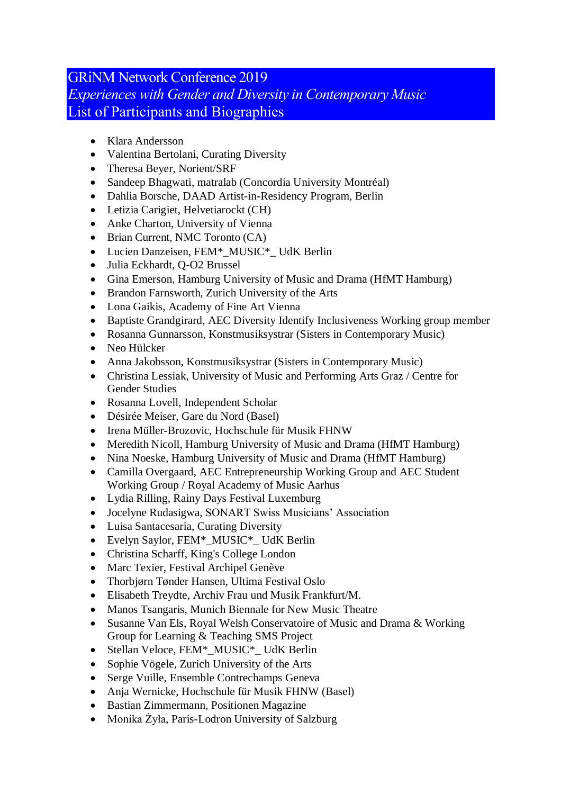## GRiNM Network Conference 2019 *Experiences with Gender and Diversity in Contemporary Music* List of Participants and Biographies

- Klara Andersson
- Valentina Bertolani, Curating Diversity
- Theresa Beyer, Norient/SRF
- Sandeep Bhagwati, matralab (Concordia University Montréal)
- Dahlia Borsche, DAAD Artist-in-Residency Program, Berlin
- Letizia Carigiet, Helvetiarockt (CH)
- Anke Charton, University of Vienna
- Brian Current, NMC Toronto (CA)
- Lucien Danzeisen, FEM\*\_MUSIC\*\_ UdK Berlin
- Julia Eckhardt, Q-O2 Brussel
- Gina Emerson, Hamburg University of Music and Drama (HfMT Hamburg)
- Brandon Farnsworth, Zurich University of the Arts
- Lona Gaikis, Academy of Fine Art Vienna
- Baptiste Grandgirard, AEC Diversity Identify Inclusiveness Working group member
- Rosanna Gunnarsson, Konstmusiksystrar (Sisters in Contemporary Music)
- Neo Hülcker
- Anna Jakobsson, Konstmusiksystrar (Sisters in Contemporary Music)
- Christina Lessiak, University of Music and Performing Arts Graz / Centre for Gender Studies
- Rosanna Lovell, Independent Scholar
- Désirée Meiser, Gare du Nord (Basel)
- Irena Müller-Brozovic, Hochschule für Musik FHNW
- Meredith Nicoll, Hamburg University of Music and Drama (HfMT Hamburg)
- Nina Noeske, Hamburg University of Music and Drama (HfMT Hamburg)
- Camilla Overgaard, AEC Entrepreneurship Working Group and AEC Student Working Group / Royal Academy of Music Aarhus
- Lydia Rilling, Rainy Days Festival Luxemburg
- Jocelyne Rudasigwa, SONART Swiss Musicians' Association
- Luisa Santacesaria, Curating Diversity
- Evelyn Saylor, FEM\*\_MUSIC\*\_ UdK Berlin
- Christina Scharff, King's College London
- Marc Texier, Festival Archipel Genève
- Thorbjørn Tønder Hansen, Ultima Festival Oslo
- Elisabeth Treydte, Archiv Frau und Musik Frankfurt/M.
- Manos Tsangaris, Munich Biennale for New Music Theatre
- Susanne Van Els, Royal Welsh Conservatoire of Music and Drama & Working Group for Learning & Teaching SMS Project
- Stellan Veloce, FEM<sup>\*</sup>\_MUSIC<sup>\*</sup>\_UdK Berlin
- Sophie Vögele, Zurich University of the Arts
- Serge Vuille, Ensemble Contrechamps Geneva
- Anja Wernicke, Hochschule für Musik FHNW (Basel)
- Bastian Zimmermann, Positionen Magazine
- Monika Żyła, Paris-Lodron University of Salzburg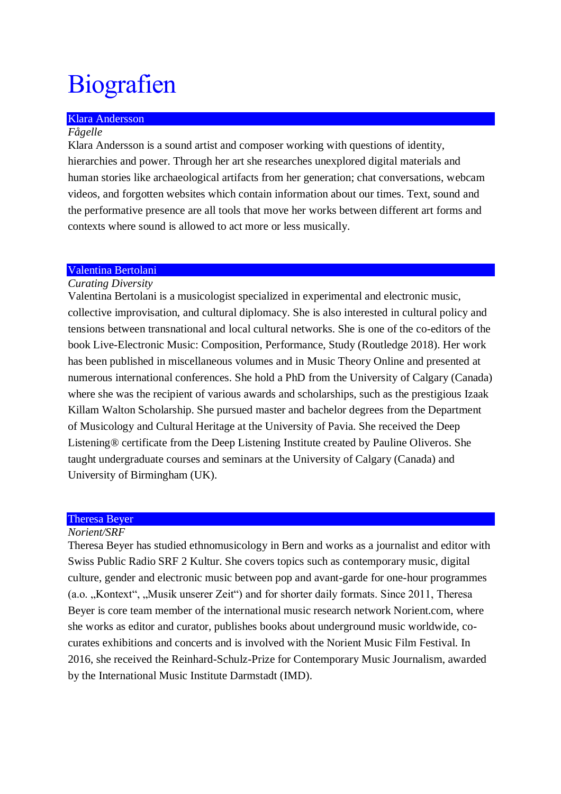# **Biografien**

## Klara Andersson

## *Fågelle*

Klara Andersson is a sound artist and composer working with questions of identity, hierarchies and power. Through her art she researches unexplored digital materials and human stories like archaeological artifacts from her generation; chat conversations, webcam videos, and forgotten websites which contain information about our times. Text, sound and the performative presence are all tools that move her works between different art forms and contexts where sound is allowed to act more or less musically.

## Valentina Bertolani

## *Curating Diversity*

Valentina Bertolani is a musicologist specialized in experimental and electronic music, collective improvisation, and cultural diplomacy. She is also interested in cultural policy and tensions between transnational and local cultural networks. She is one of the co-editors of the book Live-Electronic Music: Composition, Performance, Study (Routledge 2018). Her work has been published in miscellaneous volumes and in Music Theory Online and presented at numerous international conferences. She hold a PhD from the University of Calgary (Canada) where she was the recipient of various awards and scholarships, such as the prestigious Izaak Killam Walton Scholarship. She pursued master and bachelor degrees from the Department of Musicology and Cultural Heritage at the University of Pavia. She received the Deep Listening® certificate from the Deep Listening Institute created by Pauline Oliveros. She taught undergraduate courses and seminars at the University of Calgary (Canada) and University of Birmingham (UK).

#### Theresa Beyer

## *Norient/SRF*

Theresa Beyer has studied ethnomusicology in Bern and works as a journalist and editor with Swiss Public Radio SRF 2 Kultur. She covers topics such as contemporary music, digital culture, gender and electronic music between pop and avant-garde for one-hour programmes (a.o. "Kontext", "Musik unserer Zeit") and for shorter daily formats. Since 2011, Theresa Beyer is core team member of the international music research network Norient.com, where she works as editor and curator, publishes books about underground music worldwide, cocurates exhibitions and concerts and is involved with the Norient Music Film Festival. In 2016, she received the Reinhard-Schulz-Prize for Contemporary Music Journalism, awarded by the International Music Institute Darmstadt (IMD).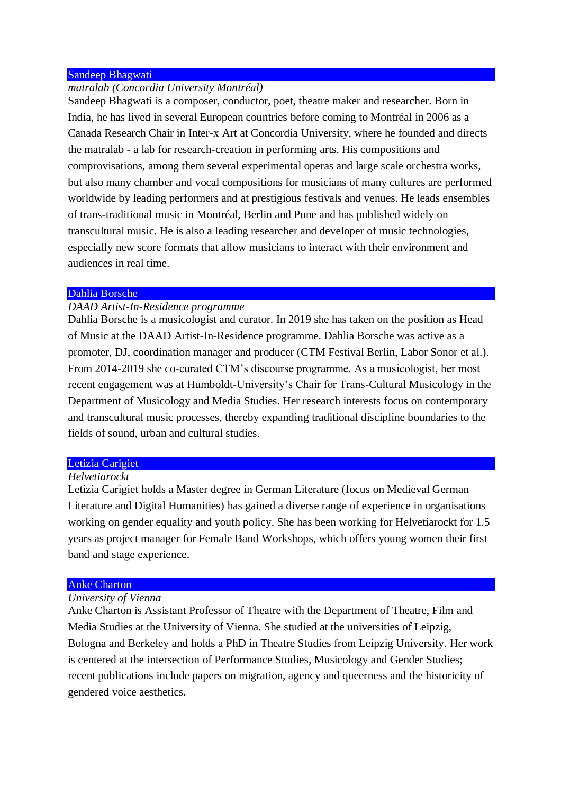## Sandeep Bhagwati

## *matralab (Concordia University Montréal)*

Sandeep Bhagwati is a composer, conductor, poet, theatre maker and researcher. Born in India, he has lived in several European countries before coming to Montréal in 2006 as a Canada Research Chair in Inter-x Art at Concordia University, where he founded and directs the matralab - a lab for research-creation in performing arts. His compositions and comprovisations, among them several experimental operas and large scale orchestra works, but also many chamber and vocal compositions for musicians of many cultures are performed worldwide by leading performers and at prestigious festivals and venues. He leads ensembles of trans-traditional music in Montréal, Berlin and Pune and has published widely on transcultural music. He is also a leading researcher and developer of music technologies, especially new score formats that allow musicians to interact with their environment and audiences in real time.

#### Dahlia Borsche

## *DAAD Artist-In-Residence programme*

Dahlia Borsche is a musicologist and curator. In 2019 she has taken on the position as Head of Music at the DAAD Artist-In-Residence programme. Dahlia Borsche was active as a promoter, DJ, coordination manager and producer (CTM Festival Berlin, Labor Sonor et al.). From 2014-2019 she co-curated CTM's discourse programme. As a musicologist, her most recent engagement was at Humboldt-University's Chair for Trans-Cultural Musicology in the Department of Musicology and Media Studies. Her research interests focus on contemporary and transcultural music processes, thereby expanding traditional discipline boundaries to the fields of sound, urban and cultural studies.

## Letizia Carigiet

## *Helvetiarockt*

Letizia Carigiet holds a Master degree in German Literature (focus on Medieval German Literature and Digital Humanities) has gained a diverse range of experience in organisations working on gender equality and youth policy. She has been working for Helvetiarockt for 1.5 years as project manager for Female Band Workshops, which offers young women their first band and stage experience.

#### Anke Charton

## *University of Vienna*

Anke Charton is Assistant Professor of Theatre with the Department of Theatre, Film and Media Studies at the University of Vienna. She studied at the universities of Leipzig, Bologna and Berkeley and holds a PhD in Theatre Studies from Leipzig University. Her work is centered at the intersection of Performance Studies, Musicology and Gender Studies; recent publications include papers on migration, agency and queerness and the historicity of gendered voice aesthetics.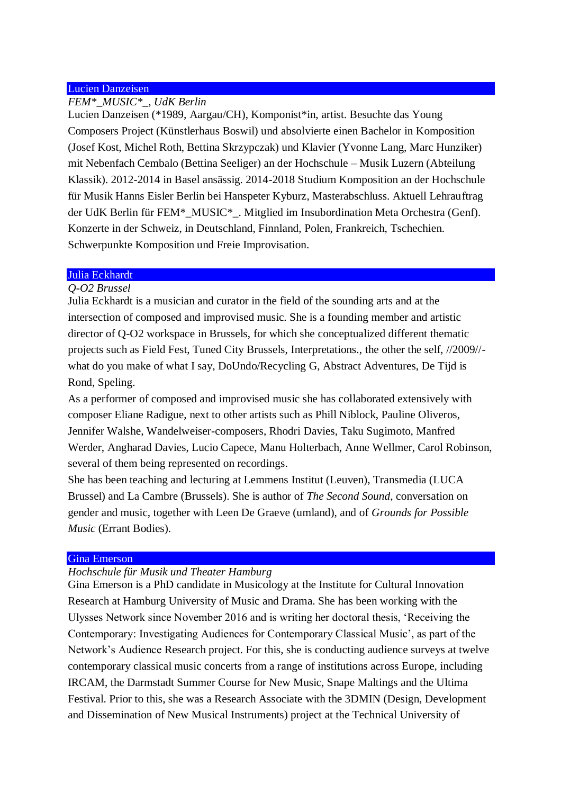## Lucien Danzeisen

## *FEM\*\_MUSIC\*\_, UdK Berlin*

Lucien Danzeisen (\*1989, Aargau/CH), Komponist\*in, artist. Besuchte das Young Composers Project (Künstlerhaus Boswil) und absolvierte einen Bachelor in Komposition (Josef Kost, Michel Roth, Bettina Skrzypczak) und Klavier (Yvonne Lang, Marc Hunziker) mit Nebenfach Cembalo (Bettina Seeliger) an der Hochschule – Musik Luzern (Abteilung Klassik). 2012-2014 in Basel ansässig. 2014-2018 Studium Komposition an der Hochschule für Musik Hanns Eisler Berlin bei Hanspeter Kyburz, Masterabschluss. Aktuell Lehrauftrag der UdK Berlin für FEM\*\_MUSIC\*\_. Mitglied im Insubordination Meta Orchestra (Genf). Konzerte in der Schweiz, in Deutschland, Finnland, Polen, Frankreich, Tschechien. Schwerpunkte Komposition und Freie Improvisation.

## Julia Eckhardt

## *Q-O2 Brussel*

Julia Eckhardt is a musician and curator in the field of the sounding arts and at the intersection of composed and improvised music. She is a founding member and artistic director of Q-O2 workspace in Brussels, for which she conceptualized different thematic projects such as Field Fest, Tuned City Brussels, Interpretations., the other the self, //2009// what do you make of what I say, DoUndo/Recycling G, Abstract Adventures, De Tijd is Rond, Speling.

As a performer of composed and improvised music she has collaborated extensively with composer Eliane Radigue, next to other artists such as Phill Niblock, Pauline Oliveros, Jennifer Walshe, Wandelweiser-composers, Rhodri Davies, Taku Sugimoto, Manfred Werder, Angharad Davies, Lucio Capece, Manu Holterbach, Anne Wellmer, Carol Robinson, several of them being represented on recordings.

She has been teaching and lecturing at Lemmens Institut (Leuven), Transmedia (LUCA Brussel) and La Cambre (Brussels). She is author of *The Second Sound*, conversation on gender and music, together with Leen De Graeve (umland), and of *Grounds for Possible Music* (Errant Bodies).

#### Gina Emerson

## *Hochschule für Musik und Theater Hamburg*

Gina Emerson is a PhD candidate in Musicology at the Institute for Cultural Innovation Research at Hamburg University of Music and Drama. She has been working with the Ulysses Network since November 2016 and is writing her doctoral thesis, 'Receiving the Contemporary: Investigating Audiences for Contemporary Classical Music', as part of the Network's Audience Research project. For this, she is conducting audience surveys at twelve contemporary classical music concerts from a range of institutions across Europe, including IRCAM, the Darmstadt Summer Course for New Music, Snape Maltings and the Ultima Festival. Prior to this, she was a Research Associate with the 3DMIN (Design, Development and Dissemination of New Musical Instruments) project at the Technical University of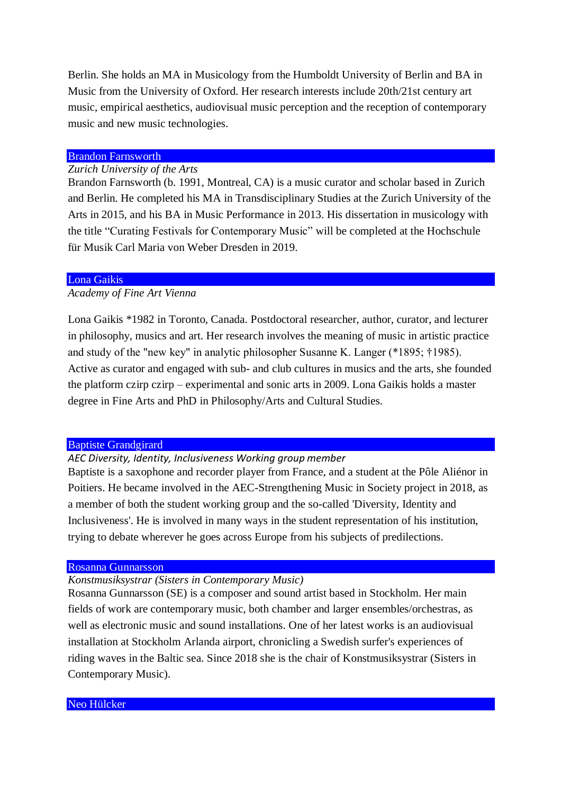Berlin. She holds an MA in Musicology from the Humboldt University of Berlin and BA in Music from the University of Oxford. Her research interests include 20th/21st century art music, empirical aesthetics, audiovisual music perception and the reception of contemporary music and new music technologies.

## Brandon Farnsworth

### *Zurich University of the Arts*

Brandon Farnsworth (b. 1991, Montreal, CA) is a music curator and scholar based in Zurich and Berlin. He completed his MA in Transdisciplinary Studies at the Zurich University of the Arts in 2015, and his BA in Music Performance in 2013. His dissertation in musicology with the title "Curating Festivals for Contemporary Music" will be completed at the Hochschule für Musik Carl Maria von Weber Dresden in 2019.

## Lona Gaikis

## *Academy of Fine Art Vienna*

Lona Gaikis \*1982 in Toronto, Canada. Postdoctoral researcher, author, curator, and lecturer in philosophy, musics and art. Her research involves the meaning of music in artistic practice and study of the "new key" in analytic philosopher Susanne K. Langer (\*1895; †1985). Active as curator and engaged with sub- and club cultures in musics and the arts, she founded the platform czirp czirp – experimental and sonic arts in 2009. Lona Gaikis holds a master degree in Fine Arts and PhD in Philosophy/Arts and Cultural Studies.

#### Baptiste Grandgirard

## *AEC Diversity, Identity, Inclusiveness Working group member*

Baptiste is a saxophone and recorder player from France, and a student at the Pôle Aliénor in Poitiers. He became involved in the AEC-Strengthening Music in Society project in 2018, as a member of both the student working group and the so-called 'Diversity, Identity and Inclusiveness'. He is involved in many ways in the student representation of his institution, trying to debate wherever he goes across Europe from his subjects of predilections.

#### Rosanna Gunnarsson

## *Konstmusiksystrar (Sisters in Contemporary Music)*

Rosanna Gunnarsson (SE) is a composer and sound artist based in Stockholm. Her main fields of work are contemporary music, both chamber and larger ensembles/orchestras, as well as electronic music and sound installations. One of her latest works is an audiovisual installation at Stockholm Arlanda airport, chronicling a Swedish surfer's experiences of riding waves in the Baltic sea. Since 2018 she is the chair of Konstmusiksystrar (Sisters in Contemporary Music).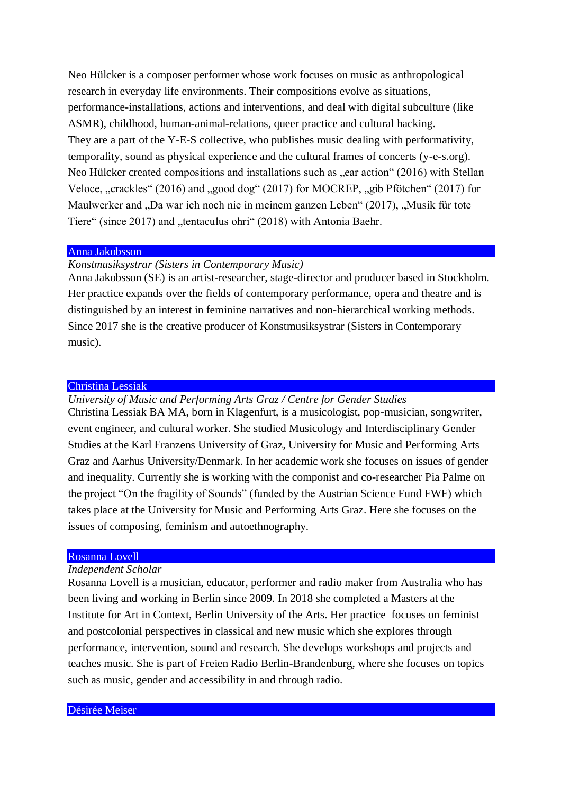Neo Hülcker is a composer performer whose work focuses on music as anthropological research in everyday life environments. Their compositions evolve as situations, performance-installations, actions and interventions, and deal with digital subculture (like ASMR), childhood, human-animal-relations, queer practice and cultural hacking. They are a part of the Y-E-S collective, who publishes music dealing with performativity, temporality, sound as physical experience and the cultural frames of concerts (y-e-s.org). Neo Hülcker created compositions and installations such as ..ear action (2016) with Stellan Veloce, "crackles" (2016) and "good dog" (2017) for MOCREP, "gib Pfötchen" (2017) for Maulwerker and "Da war ich noch nie in meinem ganzen Leben" (2017), "Musik für tote Tiere" (since 2017) and "tentaculus ohri" (2018) with Antonia Baehr.

## Anna Jakobsson

*Konstmusiksystrar (Sisters in Contemporary Music)* 

Anna Jakobsson (SE) is an artist-researcher, stage-director and producer based in Stockholm. Her practice expands over the fields of contemporary performance, opera and theatre and is distinguished by an interest in feminine narratives and non-hierarchical working methods. Since 2017 she is the creative producer of Konstmusiksystrar (Sisters in Contemporary music).

## Christina Lessiak

*University of Music and Performing Arts Graz / Centre for Gender Studies* Christina Lessiak BA MA, born in Klagenfurt, is a musicologist, pop-musician, songwriter,

event engineer, and cultural worker. She studied Musicology and Interdisciplinary Gender Studies at the Karl Franzens University of Graz, University for Music and Performing Arts Graz and Aarhus University/Denmark. In her academic work she focuses on issues of gender and inequality. Currently she is working with the componist and co-researcher Pia Palme on the project "On the fragility of Sounds" (funded by the Austrian Science Fund FWF) which takes place at the University for Music and Performing Arts Graz. Here she focuses on the issues of composing, feminism and autoethnography.

#### Rosanna Lovell

## *Independent Scholar*

Rosanna Lovell is a musician, educator, performer and radio maker from Australia who has been living and working in Berlin since 2009. In 2018 she completed a Masters at the Institute for Art in Context, Berlin University of the Arts. Her practice focuses on feminist and postcolonial perspectives in classical and new music which she explores through performance, intervention, sound and research. She develops workshops and projects and teaches music. She is part of Freien Radio Berlin-Brandenburg, where she focuses on topics such as music, gender and accessibility in and through radio.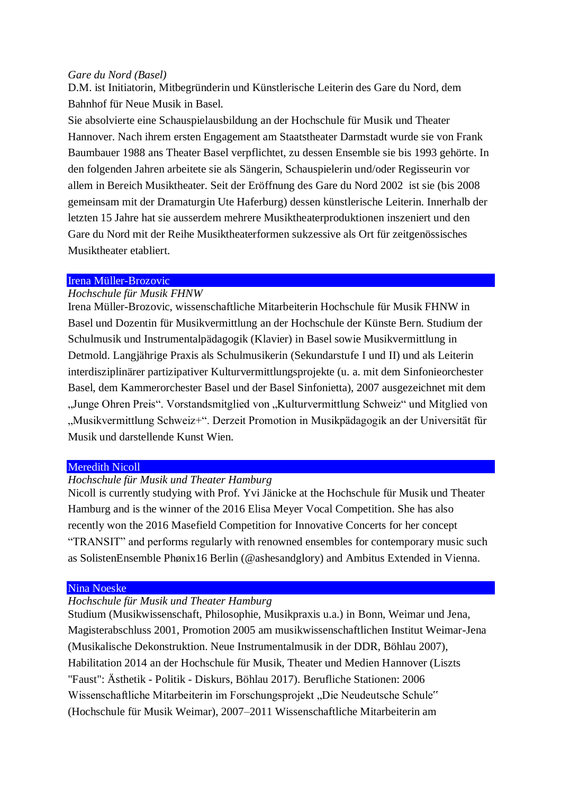## *Gare du Nord (Basel)*

D.M. ist Initiatorin, Mitbegründerin und Künstlerische Leiterin des Gare du Nord, dem Bahnhof für Neue Musik in Basel.

Sie absolvierte eine Schauspielausbildung an der Hochschule für Musik und Theater Hannover. Nach ihrem ersten Engagement am Staatstheater Darmstadt wurde sie von Frank Baumbauer 1988 ans Theater Basel verpflichtet, zu dessen Ensemble sie bis 1993 gehörte. In den folgenden Jahren arbeitete sie als Sängerin, Schauspielerin und/oder Regisseurin vor allem in Bereich Musiktheater. Seit der Eröffnung des Gare du Nord 2002 ist sie (bis 2008 gemeinsam mit der Dramaturgin Ute Haferburg) dessen künstlerische Leiterin. Innerhalb der letzten 15 Jahre hat sie ausserdem mehrere Musiktheaterproduktionen inszeniert und den Gare du Nord mit der Reihe Musiktheaterformen sukzessive als Ort für zeitgenössisches Musiktheater etabliert.

## Irena Müller-Brozovic

## *Hochschule für Musik FHNW*

Irena Müller-Brozovic, wissenschaftliche Mitarbeiterin Hochschule für Musik FHNW in Basel und Dozentin für Musikvermittlung an der Hochschule der Künste Bern. Studium der Schulmusik und Instrumentalpädagogik (Klavier) in Basel sowie Musikvermittlung in Detmold. Langjährige Praxis als Schulmusikerin (Sekundarstufe I und II) und als Leiterin interdisziplinärer partizipativer Kulturvermittlungsprojekte (u. a. mit dem Sinfonieorchester Basel, dem Kammerorchester Basel und der Basel Sinfonietta), 2007 ausgezeichnet mit dem "Junge Ohren Preis". Vorstandsmitglied von "Kulturvermittlung Schweiz" und Mitglied von "Musikvermittlung Schweiz+". Derzeit Promotion in Musikpädagogik an der Universität für Musik und darstellende Kunst Wien.

## Meredith Nicoll

## *Hochschule für Musik und Theater Hamburg*

Nicoll is currently studying with Prof. Yvi Jänicke at the Hochschule für Musik und Theater Hamburg and is the winner of the 2016 Elisa Meyer Vocal Competition. She has also recently won the 2016 Masefield Competition for Innovative Concerts for her concept "TRANSIT" and performs regularly with renowned ensembles for contemporary music such as SolistenEnsemble Phønix16 Berlin (@ashesandglory) and Ambitus Extended in Vienna.

## Nina Noeske

## *Hochschule für Musik und Theater Hamburg*

Studium (Musikwissenschaft, Philosophie, Musikpraxis u.a.) in Bonn, Weimar und Jena, Magisterabschluss 2001, Promotion 2005 am musikwissenschaftlichen Institut Weimar-Jena (Musikalische Dekonstruktion. Neue Instrumentalmusik in der DDR, Böhlau 2007), Habilitation 2014 an der Hochschule für Musik, Theater und Medien Hannover (Liszts "Faust": Ästhetik - Politik - Diskurs, Böhlau 2017). Berufliche Stationen: 2006 Wissenschaftliche Mitarbeiterin im Forschungsprojekt "Die Neudeutsche Schule" (Hochschule für Musik Weimar), 2007–2011 Wissenschaftliche Mitarbeiterin am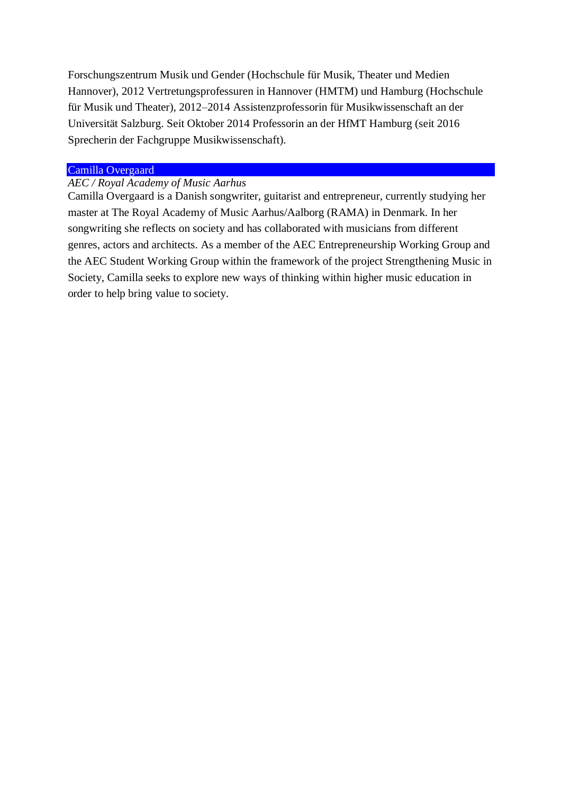Forschungszentrum Musik und Gender (Hochschule für Musik, Theater und Medien Hannover), 2012 Vertretungsprofessuren in Hannover (HMTM) und Hamburg (Hochschule für Musik und Theater), 2012–2014 Assistenzprofessorin für Musikwissenschaft an der Universität Salzburg. Seit Oktober 2014 Professorin an der HfMT Hamburg (seit 2016 Sprecherin der Fachgruppe Musikwissenschaft).

## Camilla Overgaard

## *AEC / Royal Academy of Music Aarhus*

Camilla Overgaard is a Danish songwriter, guitarist and entrepreneur, currently studying her master at The Royal Academy of Music Aarhus/Aalborg (RAMA) in Denmark. In her songwriting she reflects on society and has collaborated with musicians from different genres, actors and architects. As a member of the AEC Entrepreneurship Working Group and the AEC Student Working Group within the framework of the project Strengthening Music in Society, Camilla seeks to explore new ways of thinking within higher music education in order to help bring value to society.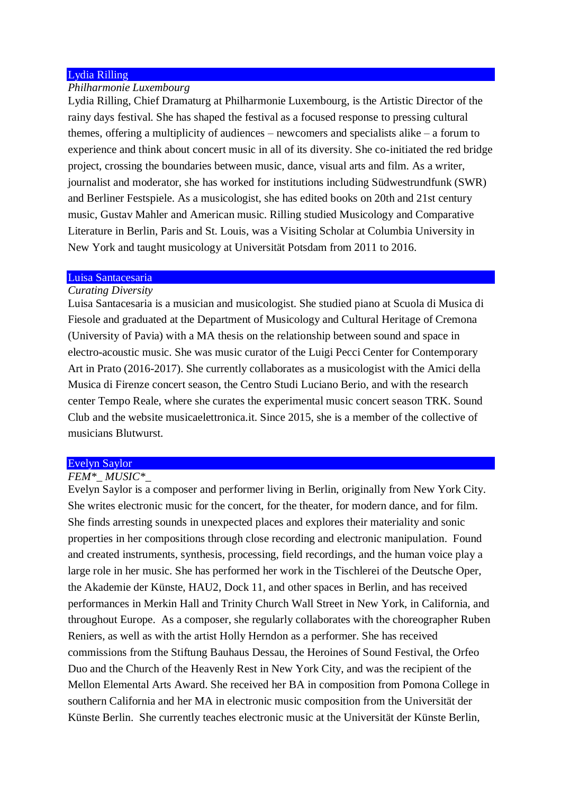## Lydia Rilling

## *Philharmonie Luxembourg*

Lydia Rilling, Chief Dramaturg at Philharmonie Luxembourg, is the Artistic Director of the rainy days festival. She has shaped the festival as a focused response to pressing cultural themes, offering a multiplicity of audiences – newcomers and specialists alike – a forum to experience and think about concert music in all of its diversity. She co-initiated the red bridge project, crossing the boundaries between music, dance, visual arts and film. As a writer, journalist and moderator, she has worked for institutions including Südwestrundfunk (SWR) and Berliner Festspiele. As a musicologist, she has edited books on 20th and 21st century music, Gustav Mahler and American music. Rilling studied Musicology and Comparative Literature in Berlin, Paris and St. Louis, was a Visiting Scholar at Columbia University in New York and taught musicology at Universität Potsdam from 2011 to 2016.

#### Luisa Santacesaria

## *Curating Diversity*

Luisa Santacesaria is a musician and musicologist. She studied piano at Scuola di Musica di Fiesole and graduated at the Department of Musicology and Cultural Heritage of Cremona (University of Pavia) with a MA thesis on the relationship between sound and space in electro-acoustic music. She was music curator of the Luigi Pecci Center for Contemporary Art in Prato (2016-2017). She currently collaborates as a musicologist with the Amici della Musica di Firenze concert season, the Centro Studi Luciano Berio, and with the research center Tempo Reale, where she curates the experimental music concert season TRK. Sound Club and the website musicaelettronica.it. Since 2015, she is a member of the collective of musicians Blutwurst.

## Evelyn Saylor

## *FEM\*\_ MUSIC\*\_*

Evelyn Saylor is a composer and performer living in Berlin, originally from New York City. She writes electronic music for the concert, for the theater, for modern dance, and for film. She finds arresting sounds in unexpected places and explores their materiality and sonic properties in her compositions through close recording and electronic manipulation. Found and created instruments, synthesis, processing, field recordings, and the human voice play a large role in her music. She has performed her work in the Tischlerei of the Deutsche Oper, the Akademie der Künste, HAU2, Dock 11, and other spaces in Berlin, and has received performances in Merkin Hall and Trinity Church Wall Street in New York, in California, and throughout Europe. As a composer, she regularly collaborates with the choreographer Ruben Reniers, as well as with the artist Holly Herndon as a performer. She has received commissions from the Stiftung Bauhaus Dessau, the Heroines of Sound Festival, the Orfeo Duo and the Church of the Heavenly Rest in New York City, and was the recipient of the Mellon Elemental Arts Award. She received her BA in composition from Pomona College in southern California and her MA in electronic music composition from the Universität der Künste Berlin. She currently teaches electronic music at the Universität der Künste Berlin,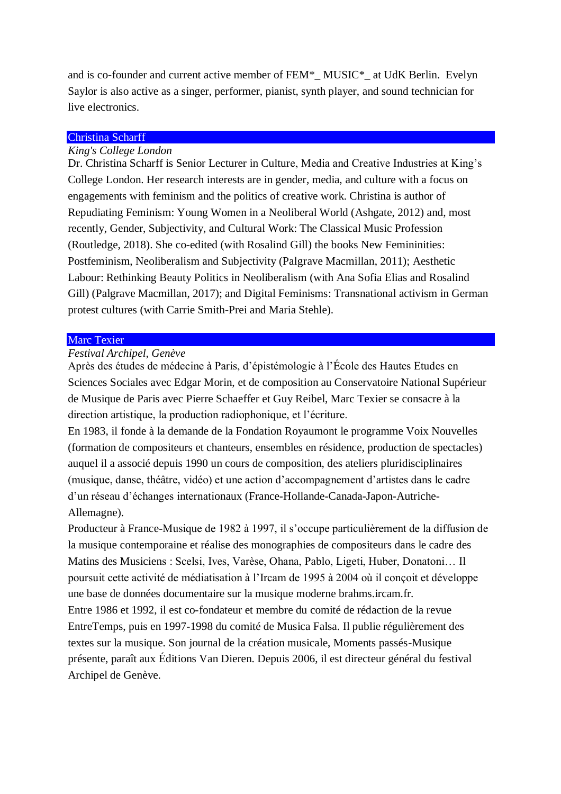and is co-founder and current active member of FEM\*\_ MUSIC\*\_ at UdK Berlin. Evelyn Saylor is also active as a singer, performer, pianist, synth player, and sound technician for live electronics.

## Christina Scharff

## *King's College London*

Dr. Christina Scharff is Senior Lecturer in Culture, Media and Creative Industries at King's College London. Her research interests are in gender, media, and culture with a focus on engagements with feminism and the politics of creative work. Christina is author of Repudiating Feminism: Young Women in a Neoliberal World (Ashgate, 2012) and, most recently, Gender, Subjectivity, and Cultural Work: The Classical Music Profession (Routledge, 2018). She co-edited (with Rosalind Gill) the books New Femininities: Postfeminism, Neoliberalism and Subjectivity (Palgrave Macmillan, 2011); Aesthetic Labour: Rethinking Beauty Politics in Neoliberalism (with Ana Sofia Elias and Rosalind Gill) (Palgrave Macmillan, 2017); and Digital Feminisms: Transnational activism in German protest cultures (with Carrie Smith-Prei and Maria Stehle).

#### Marc Texier

## *Festival Archipel, Genève*

Après des études de médecine à Paris, d'épistémologie à l'École des Hautes Etudes en Sciences Sociales avec Edgar Morin, et de composition au Conservatoire National Supérieur de Musique de Paris avec Pierre Schaeffer et Guy Reibel, Marc Texier se consacre à la direction artistique, la production radiophonique, et l'écriture.

En 1983, il fonde à la demande de la Fondation Royaumont le programme Voix Nouvelles (formation de compositeurs et chanteurs, ensembles en résidence, production de spectacles) auquel il a associé depuis 1990 un cours de composition, des ateliers pluridisciplinaires (musique, danse, théâtre, vidéo) et une action d'accompagnement d'artistes dans le cadre d'un réseau d'échanges internationaux (France-Hollande-Canada-Japon-Autriche-Allemagne).

Producteur à France-Musique de 1982 à 1997, il s'occupe particulièrement de la diffusion de la musique contemporaine et réalise des monographies de compositeurs dans le cadre des Matins des Musiciens : Scelsi, Ives, Varèse, Ohana, Pablo, Ligeti, Huber, Donatoni… Il poursuit cette activité de médiatisation à l'Ircam de 1995 à 2004 où il conçoit et développe une base de données documentaire sur la musique moderne brahms.ircam.fr.

Entre 1986 et 1992, il est co-fondateur et membre du comité de rédaction de la revue EntreTemps, puis en 1997-1998 du comité de Musica Falsa. Il publie régulièrement des textes sur la musique. Son journal de la création musicale, Moments passés-Musique présente, paraît aux Éditions Van Dieren. Depuis 2006, il est directeur général du festival Archipel de Genève.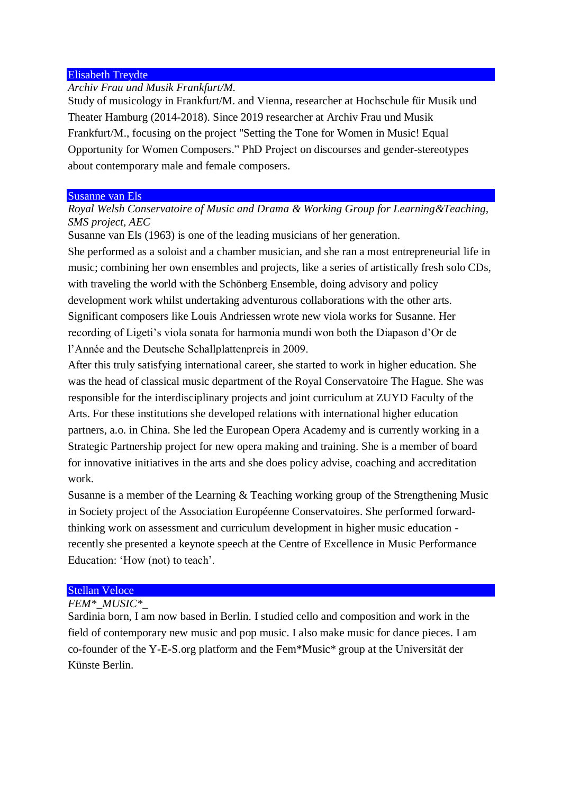## Elisabeth Treydte

## *Archiv Frau und Musik Frankfurt/M.*

Study of musicology in Frankfurt/M. and Vienna, researcher at Hochschule für Musik und Theater Hamburg (2014-2018). Since 2019 researcher at Archiv Frau und Musik Frankfurt/M., focusing on the project "Setting the Tone for Women in Music! Equal Opportunity for Women Composers." PhD Project on discourses and gender-stereotypes about contemporary male and female composers.

#### Susanne van Els

## *Royal Welsh Conservatoire of Music and Drama & Working Group for Learning&Teaching, SMS project, AEC*

Susanne van Els (1963) is one of the leading musicians of her generation.

She performed as a soloist and a chamber musician, and she ran a most entrepreneurial life in music; combining her own ensembles and projects, like a series of artistically fresh solo CDs, with traveling the world with the Schönberg Ensemble, doing advisory and policy development work whilst undertaking adventurous collaborations with the other arts. Significant composers like Louis Andriessen wrote new viola works for Susanne. Her recording of Ligeti's viola sonata for harmonia mundi won both the Diapason d'Or de l'Année and the Deutsche Schallplattenpreis in 2009.

After this truly satisfying international career, she started to work in higher education. She was the head of classical music department of the Royal Conservatoire The Hague. She was responsible for the interdisciplinary projects and joint curriculum at ZUYD Faculty of the Arts. For these institutions she developed relations with international higher education partners, a.o. in China. She led the European Opera Academy and is currently working in a Strategic Partnership project for new opera making and training. She is a member of board for innovative initiatives in the arts and she does policy advise, coaching and accreditation work.

Susanne is a member of the Learning & Teaching working group of the Strengthening Music in Society project of the Association Européenne Conservatoires. She performed forwardthinking work on assessment and curriculum development in higher music education recently she presented a keynote speech at the Centre of Excellence in Music Performance Education: 'How (not) to teach'.

#### Stellan Veloce

## *FEM\*\_MUSIC\*\_*

Sardinia born, I am now based in Berlin. I studied cello and composition and work in the field of contemporary new music and pop music. I also make music for dance pieces. I am co-founder of the Y-E-S.org platform and the Fem\*Music\* group at the Universität der Künste Berlin.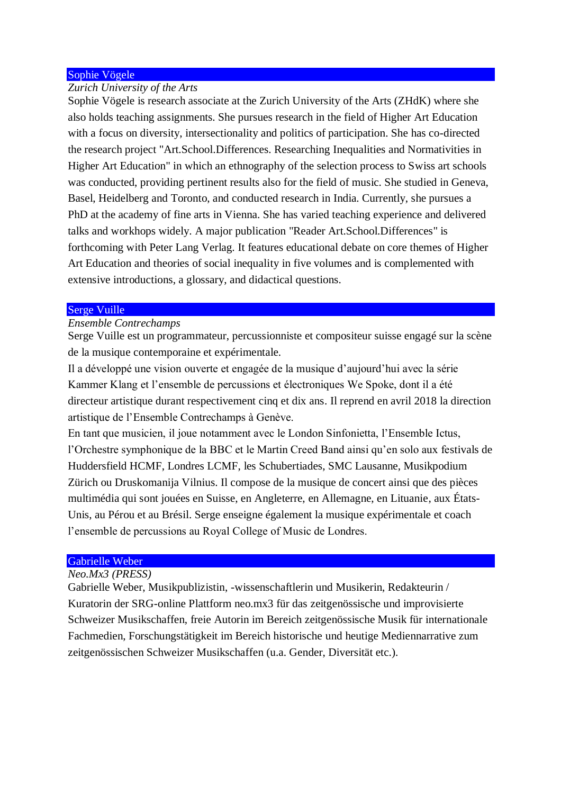## Sophie Vögele

## *Zurich University of the Arts*

Sophie Vögele is research associate at the Zurich University of the Arts (ZHdK) where she also holds teaching assignments. She pursues research in the field of Higher Art Education with a focus on diversity, intersectionality and politics of participation. She has co-directed the research project "Art.School.Differences. Researching Inequalities and Normativities in Higher Art Education" in which an ethnography of the selection process to Swiss art schools was conducted, providing pertinent results also for the field of music. She studied in Geneva, Basel, Heidelberg and Toronto, and conducted research in India. Currently, she pursues a PhD at the academy of fine arts in Vienna. She has varied teaching experience and delivered talks and workhops widely. A major publication "Reader Art.School.Differences" is forthcoming with Peter Lang Verlag. It features educational debate on core themes of Higher Art Education and theories of social inequality in five volumes and is complemented with extensive introductions, a glossary, and didactical questions.

#### Serge Vuille

## *Ensemble Contrechamps*

Serge Vuille est un programmateur, percussionniste et compositeur suisse engagé sur la scène de la musique contemporaine et expérimentale.

Il a développé une vision ouverte et engagée de la musique d'aujourd'hui avec la série Kammer Klang et l'ensemble de percussions et électroniques We Spoke, dont il a été directeur artistique durant respectivement cinq et dix ans. Il reprend en avril 2018 la direction artistique de l'Ensemble Contrechamps à Genève.

En tant que musicien, il joue notamment avec le London Sinfonietta, l'Ensemble Ictus, l'Orchestre symphonique de la BBC et le Martin Creed Band ainsi qu'en solo aux festivals de Huddersfield HCMF, Londres LCMF, les Schubertiades, SMC Lausanne, Musikpodium Zürich ou Druskomanija Vilnius. Il compose de la musique de concert ainsi que des pièces multimédia qui sont jouées en Suisse, en Angleterre, en Allemagne, en Lituanie, aux États-Unis, au Pérou et au Brésil. Serge enseigne également la musique expérimentale et coach l'ensemble de percussions au Royal College of Music de Londres.

#### Gabrielle Weber

## *Neo.Mx3 (PRESS)*

Gabrielle Weber, Musikpublizistin, -wissenschaftlerin und Musikerin, Redakteurin / Kuratorin der SRG-online Plattform neo.mx3 für das zeitgenössische und improvisierte Schweizer Musikschaffen, freie Autorin im Bereich zeitgenössische Musik für internationale Fachmedien, Forschungstätigkeit im Bereich historische und heutige Mediennarrative zum zeitgenössischen Schweizer Musikschaffen (u.a. Gender, Diversität etc.).